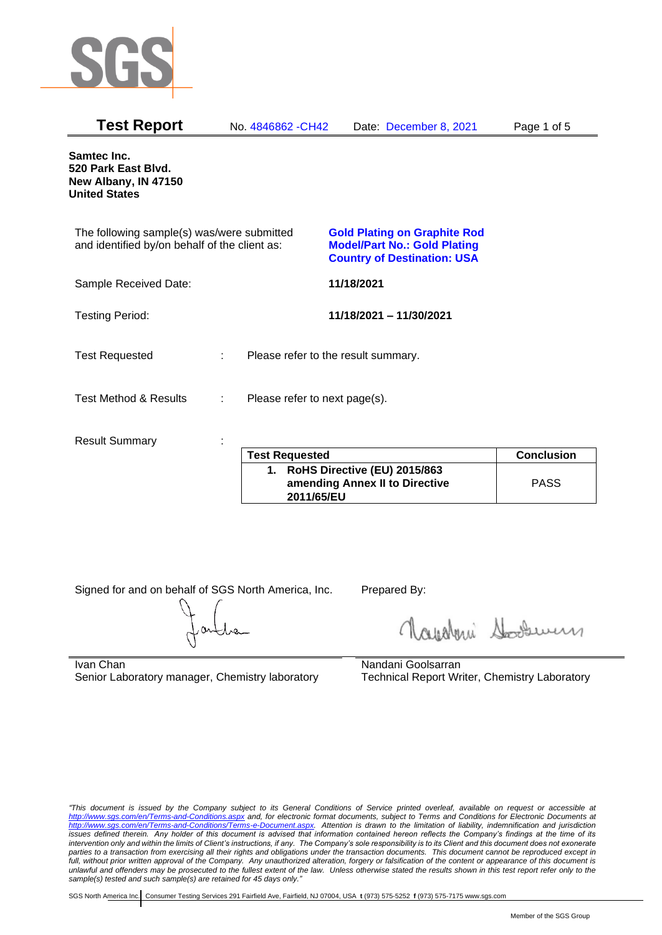

| <b>Test Report</b>                                                                          |   | No. 4846862 - CH42                  | Date: December 8, 2021                                                                                           | Page 1 of 5       |
|---------------------------------------------------------------------------------------------|---|-------------------------------------|------------------------------------------------------------------------------------------------------------------|-------------------|
| Samtec Inc.<br>520 Park East Blvd.<br>New Albany, IN 47150<br><b>United States</b>          |   |                                     |                                                                                                                  |                   |
| The following sample(s) was/were submitted<br>and identified by/on behalf of the client as: |   |                                     | <b>Gold Plating on Graphite Rod</b><br><b>Model/Part No.: Gold Plating</b><br><b>Country of Destination: USA</b> |                   |
| Sample Received Date:                                                                       |   |                                     | 11/18/2021                                                                                                       |                   |
| <b>Testing Period:</b>                                                                      |   |                                     | 11/18/2021 - 11/30/2021                                                                                          |                   |
| <b>Test Requested</b>                                                                       | ÷ | Please refer to the result summary. |                                                                                                                  |                   |
| <b>Test Method &amp; Results</b>                                                            | ÷ | Please refer to next page(s).       |                                                                                                                  |                   |
| <b>Result Summary</b>                                                                       |   | <b>Test Requested</b>               |                                                                                                                  | <b>Conclusion</b> |
|                                                                                             |   | $\overline{\mathbf{A}}$             | <b>DAUS Directive (ELI) 2015/062</b>                                                                             |                   |

| <b>Test Requested</b>                                                           | <b>Conclusion</b> |
|---------------------------------------------------------------------------------|-------------------|
| 1. RoHS Directive (EU) 2015/863<br>amending Annex II to Directive<br>2011/65/EU | <b>PASS</b>       |

Signed for and on behalf of SGS North America, Inc. Prepared By:

Navaleni Soomun

Ivan Chan Senior Laboratory manager, Chemistry laboratory Nandani Goolsarran Technical Report Writer, Chemistry Laboratory

*"This document is issued by the Company subject to its General Conditions of Service printed overleaf, available on request or accessible at <http://www.sgs.com/en/Terms-and-Conditions.aspx> and, for electronic format documents, subject to Terms and Conditions for Electronic Documents at [http://www.sgs.com/en/Terms-and-Conditions/Terms-e-Document.aspx.](http://www.sgs.com/en/Terms-and-Conditions/Terms-e-Document.aspx) Attention is drawn to the limitation of liability, indemnification and jurisdiction issues defined therein. Any holder of this document is advised that information contained hereon reflects the Company's findings at the time of its intervention only and within the limits of Client's instructions, if any. The Company's sole responsibility is to its Client and this document does not exonerate parties to a transaction from exercising all their rights and obligations under the transaction documents. This document cannot be reproduced except in full, without prior written approval of the Company. Any unauthorized alteration, forgery or falsification of the content or appearance of this document is unlawful and offenders may be prosecuted to the fullest extent of the law. Unless otherwise stated the results shown in this test report refer only to the sample(s) tested and such sample(s) are retained for 45 days only."*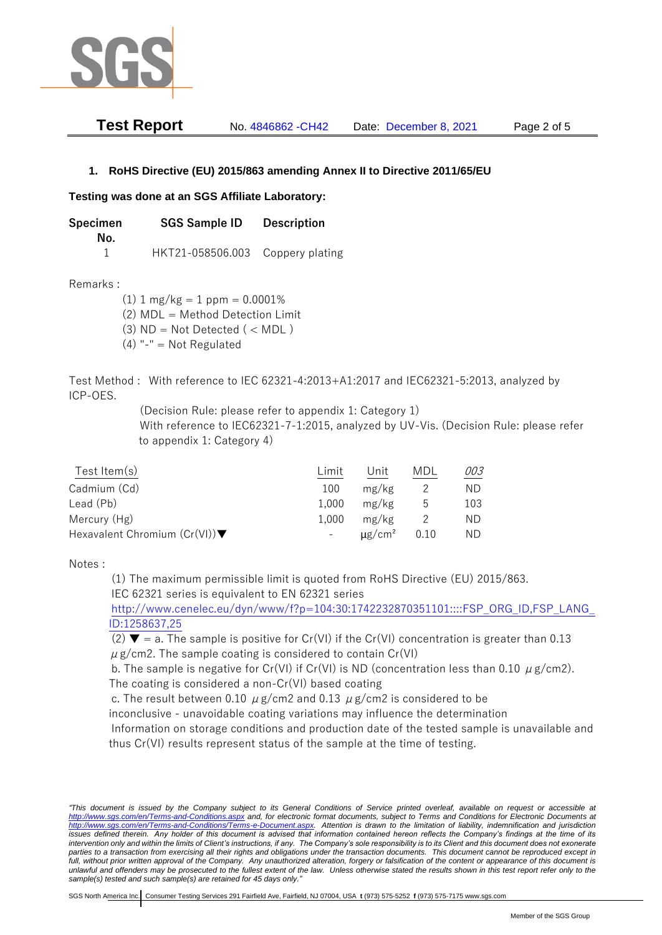

| <b>Test Report</b> | No. 4846862 - CH42 | Date: December 8, 2021 | Page 2 of 5 |
|--------------------|--------------------|------------------------|-------------|
|--------------------|--------------------|------------------------|-------------|

## **1. RoHS Directive (EU) 2015/863 amending Annex II to Directive 2011/65/EU**

## **Testing was done at an SGS Affiliate Laboratory:**

**Specimen SGS Sample ID Description No.** 1 HKT21-058506.003 Coppery plating

Remarks :

 $(1)$  1 mg/kg = 1 ppm = 0.0001% (2) MDL = Method Detection Limit

 $(3)$  ND = Not Detected  $($  < MDL)

(4) "-" = Not Regulated

Test Method : With reference to IEC 62321-4:2013+A1:2017 and IEC62321-5:2013, analyzed by ICP-OES.

(Decision Rule: please refer to appendix 1: Category 1)

With reference to IEC62321-7-1:2015, analyzed by UV-Vis. (Decision Rule: please refer to appendix 1: Category 4)

| Test Item $(s)$                                  | Limit | Unit                    | MDL  | 003 |
|--------------------------------------------------|-------|-------------------------|------|-----|
| Cadmium (Cd)                                     | 100   | mg/kg                   |      | ND. |
| Lead (Pb)                                        | 1.000 | mg/kg                   | ხ    | 103 |
| Mercury (Hg)                                     | 1.000 | mg/kg                   |      | ND  |
| Hexavalent Chromium $(Cr(VI))\blacktriangledown$ |       | $\mu$ g/cm <sup>2</sup> | 0.10 | ND. |

Notes :

(1) The maximum permissible limit is quoted from RoHS Directive (EU) 2015/863. IEC 62321 series is equivalent to EN 62321 series

[http://www.cenelec.eu/dyn/www/f?p=104:30:1742232870351101::::FSP\\_ORG\\_ID,FSP\\_LANG\\_](http://www.cenelec.eu/dyn/www/f?p=104:30:1742232870351101::::FSP_ORG_ID,FSP_LANG_ID:1258637,25) [ID:1258637,25](http://www.cenelec.eu/dyn/www/f?p=104:30:1742232870351101::::FSP_ORG_ID,FSP_LANG_ID:1258637,25)

(2)  $\blacktriangledown$  = a. The sample is positive for Cr(VI) if the Cr(VI) concentration is greater than 0.13  $\mu$  g/cm2. The sample coating is considered to contain Cr(VI)

b. The sample is negative for Cr(VI) if Cr(VI) is ND (concentration less than 0.10  $\mu$  g/cm2). The coating is considered a non-Cr(VI) based coating

c. The result between 0.10  $\mu$  g/cm2 and 0.13  $\mu$  g/cm2 is considered to be

inconclusive - unavoidable coating variations may influence the determination

Information on storage conditions and production date of the tested sample is unavailable and thus Cr(VI) results represent status of the sample at the time of testing.

*"This document is issued by the Company subject to its General Conditions of Service printed overleaf, available on request or accessible at <http://www.sgs.com/en/Terms-and-Conditions.aspx> and, for electronic format documents, subject to Terms and Conditions for Electronic Documents at [http://www.sgs.com/en/Terms-and-Conditions/Terms-e-Document.aspx.](http://www.sgs.com/en/Terms-and-Conditions/Terms-e-Document.aspx) Attention is drawn to the limitation of liability, indemnification and jurisdiction*  issues defined therein. Any holder of this document is advised that information contained hereon reflects the Company's findings at the time of its *intervention only and within the limits of Client's instructions, if any. The Company's sole responsibility is to its Client and this document does not exonerate parties to a transaction from exercising all their rights and obligations under the transaction documents. This document cannot be reproduced except in full, without prior written approval of the Company. Any unauthorized alteration, forgery or falsification of the content or appearance of this document is unlawful and offenders may be prosecuted to the fullest extent of the law. Unless otherwise stated the results shown in this test report refer only to the sample(s) tested and such sample(s) are retained for 45 days only."*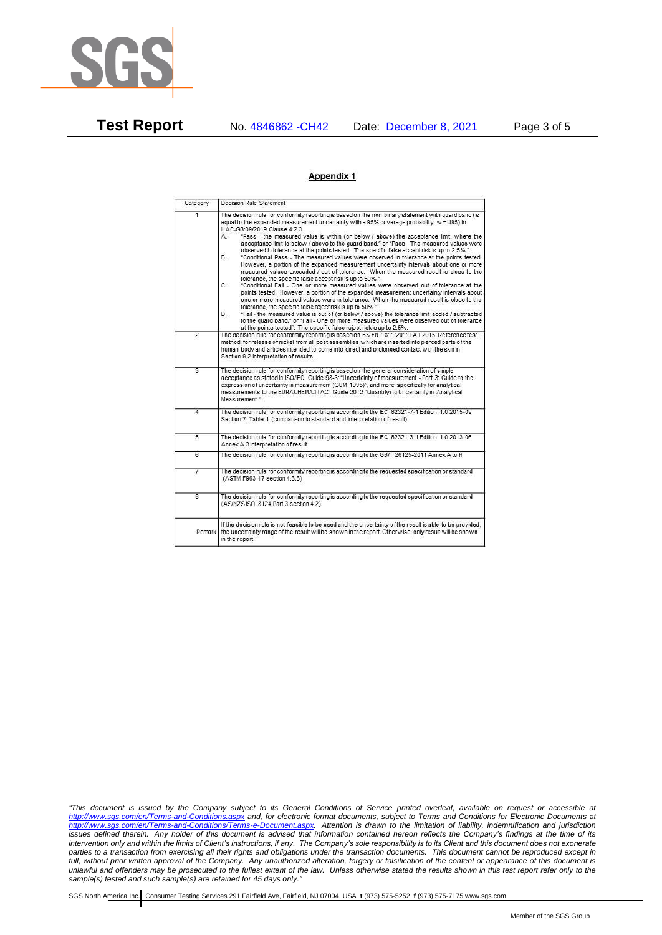

**Test Report** No. 4846862 -CH42 Date: December 8, 2021 Page 3 of 5

## Appendix 1

| Category       | Decision Rule Statement                                                                                                                                                                                                                                                                                                                                                                                                                                                                                                                                                                                                                                                                                                                                                                                                                                                                                                                                                                                                                                                                                                                                                                                                                                                                                                                                                                                                                                                                                            |  |  |  |
|----------------|--------------------------------------------------------------------------------------------------------------------------------------------------------------------------------------------------------------------------------------------------------------------------------------------------------------------------------------------------------------------------------------------------------------------------------------------------------------------------------------------------------------------------------------------------------------------------------------------------------------------------------------------------------------------------------------------------------------------------------------------------------------------------------------------------------------------------------------------------------------------------------------------------------------------------------------------------------------------------------------------------------------------------------------------------------------------------------------------------------------------------------------------------------------------------------------------------------------------------------------------------------------------------------------------------------------------------------------------------------------------------------------------------------------------------------------------------------------------------------------------------------------------|--|--|--|
| $\overline{1}$ | The decision rule for conformity reporting is based on the non-binary statement with quard band (is<br>equal to the expanded measurement uncertainty with a 95% coverage probability, w = U95) in<br>ILAC-G8:09/2019 Clause 4.2.3.<br>"Pass - the measured value is within (or below / above) the acceptance limit, where the<br>А.<br>acceptance limit is below / above to the quard band." or "Pass - The measured values were<br>observed in tolerance at the points tested. The specific false accept risk is up to 2.5%.".<br>"Conditional Pass - The measured values were observed in tolerance at the points tested.<br>В.<br>However, a portion of the expanded measurement uncertainty intervals about one or more<br>measured values exceeded / out of tolerance. When the measured result is close to the<br>tolerance, the specific false accept risk is up to 50%.".<br>C.<br>"Conditional Fail - One or more measured values were observed out of tolerance at the<br>points tested. However, a portion of the expanded measurement uncertainty intervals about<br>one or more measured values were in tolerance. When the measured result is close to the<br>tolerance, the specific false reject risk is up to 50%.".<br>"Fail - the measured value is out of (or below / above) the tolerance limit added / subtracted<br>D.<br>to the quard band." or "Fail - One or more measured values were observed out of tolerance<br>at the points tested". The specific false reject risk is up to 2.5%. |  |  |  |
| $\overline{2}$ | The decision rule for conformity reporting is based on BS EN 1811:2011+A1:2015: Reference test<br>method for release of nickel from all post assemblies which are inserted into pierced parts of the<br>human body and articles intended to come into direct and prolonged contact with the skin in<br>Section 9.2 interpretation of results.                                                                                                                                                                                                                                                                                                                                                                                                                                                                                                                                                                                                                                                                                                                                                                                                                                                                                                                                                                                                                                                                                                                                                                      |  |  |  |
| $\overline{3}$ | The decision rule for conformity reporting is based on the general consideration of simple<br>acceptance as stated in ISO/IEC Guide 98-3: "Uncertainty of measurement - Part 3: Guide to the<br>expression of uncertainty in measurement (GUM 1995)", and more specifically for analytical<br>measurements to the EURACHEM/CITAC Guide 2012 "Quantifying Uncertainty in Analytical<br>Measurement *                                                                                                                                                                                                                                                                                                                                                                                                                                                                                                                                                                                                                                                                                                                                                                                                                                                                                                                                                                                                                                                                                                                |  |  |  |
| 4              | The decision rule for conformity reporting is according to the IEC 62321-7-1 Edition 1.0 2015-09<br>Section 7: Table 1-(comparison to standard and interpretation of result)                                                                                                                                                                                                                                                                                                                                                                                                                                                                                                                                                                                                                                                                                                                                                                                                                                                                                                                                                                                                                                                                                                                                                                                                                                                                                                                                       |  |  |  |
| $\overline{5}$ | The decision rule for conformity reporting is according to the IEC 62321-3-1 Edition 1.0 2013-06<br>Annex A.3 interpretation of result.                                                                                                                                                                                                                                                                                                                                                                                                                                                                                                                                                                                                                                                                                                                                                                                                                                                                                                                                                                                                                                                                                                                                                                                                                                                                                                                                                                            |  |  |  |
| $\overline{6}$ | The decision rule for conformity reporting is according to the GB/T 26125-2011 Annex A to H                                                                                                                                                                                                                                                                                                                                                                                                                                                                                                                                                                                                                                                                                                                                                                                                                                                                                                                                                                                                                                                                                                                                                                                                                                                                                                                                                                                                                        |  |  |  |
| 7              | The decision rule for conformity reporting is according to the requested specification or standard<br>(ASTM F963-17 section 4.3.5)                                                                                                                                                                                                                                                                                                                                                                                                                                                                                                                                                                                                                                                                                                                                                                                                                                                                                                                                                                                                                                                                                                                                                                                                                                                                                                                                                                                 |  |  |  |
| $\overline{8}$ | The decision rule for conformity reporting is according to the requested specification or standard<br>(AS/NZS ISO 8124 Part 3 section 4.2)                                                                                                                                                                                                                                                                                                                                                                                                                                                                                                                                                                                                                                                                                                                                                                                                                                                                                                                                                                                                                                                                                                                                                                                                                                                                                                                                                                         |  |  |  |
| Remark         | If the decision rule is not feasible to be used and the uncertainty of the result is able to be provided.<br>the uncertainty range of the result will be shown in the report. Otherwise, only result will be shown<br>in the report.                                                                                                                                                                                                                                                                                                                                                                                                                                                                                                                                                                                                                                                                                                                                                                                                                                                                                                                                                                                                                                                                                                                                                                                                                                                                               |  |  |  |

*"This document is issued by the Company subject to its General Conditions of Service printed overleaf, available on request or accessible at <http://www.sgs.com/en/Terms-and-Conditions.aspx> and, for electronic format documents, subject to Terms and Conditions for Electronic Documents at [http://www.sgs.com/en/Terms-and-Conditions/Terms-e-Document.aspx.](http://www.sgs.com/en/Terms-and-Conditions/Terms-e-Document.aspx) Attention is drawn to the limitation of liability, indemnification and jurisdiction issues defined therein. Any holder of this document is advised that information contained hereon reflects the Company's findings at the time of its intervention only and within the limits of Client's instructions, if any. The Company's sole responsibility is to its Client and this document does not exonerate parties to a transaction from exercising all their rights and obligations under the transaction documents. This document cannot be reproduced except in full, without prior written approval of the Company. Any unauthorized alteration, forgery or falsification of the content or appearance of this document is unlawful and offenders may be prosecuted to the fullest extent of the law. Unless otherwise stated the results shown in this test report refer only to the sample(s) tested and such sample(s) are retained for 45 days only."*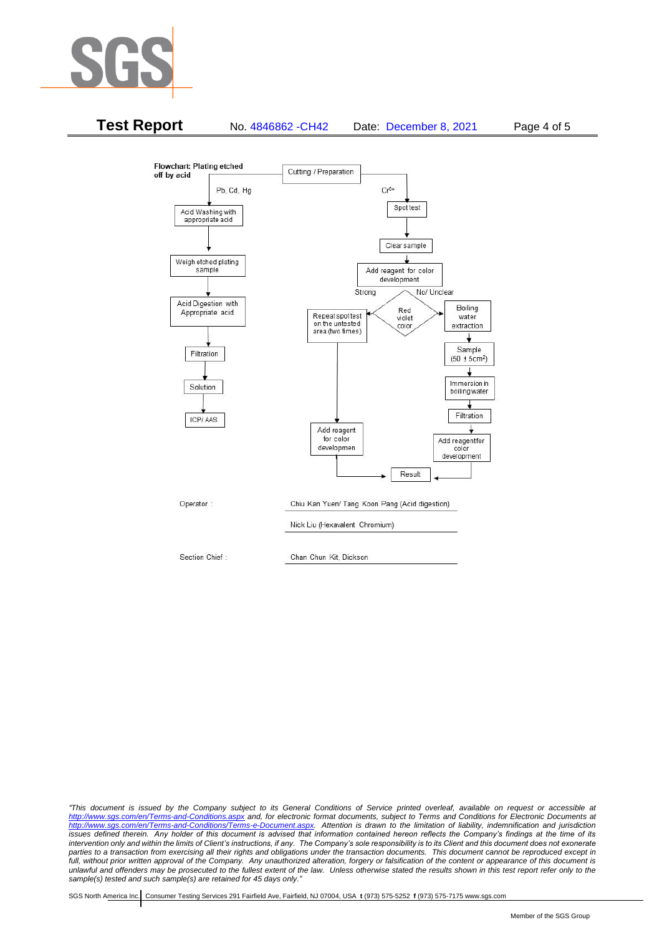



*"This document is issued by the Company subject to its General Conditions of Service printed overleaf, available on request or accessible at <http://www.sgs.com/en/Terms-and-Conditions.aspx> and, for electronic format documents, subject to Terms and Conditions for Electronic Documents at [http://www.sgs.com/en/Terms-and-Conditions/Terms-e-Document.aspx.](http://www.sgs.com/en/Terms-and-Conditions/Terms-e-Document.aspx) Attention is drawn to the limitation of liability, indemnification and jurisdiction issues defined therein. Any holder of this document is advised that information contained hereon reflects the Company's findings at the time of its intervention only and within the limits of Client's instructions, if any. The Company's sole responsibility is to its Client and this document does not exonerate parties to a transaction from exercising all their rights and obligations under the transaction documents. This document cannot be reproduced except in full, without prior written approval of the Company. Any unauthorized alteration, forgery or falsification of the content or appearance of this document is unlawful and offenders may be prosecuted to the fullest extent of the law. Unless otherwise stated the results shown in this test report refer only to the sample(s) tested and such sample(s) are retained for 45 days only."*